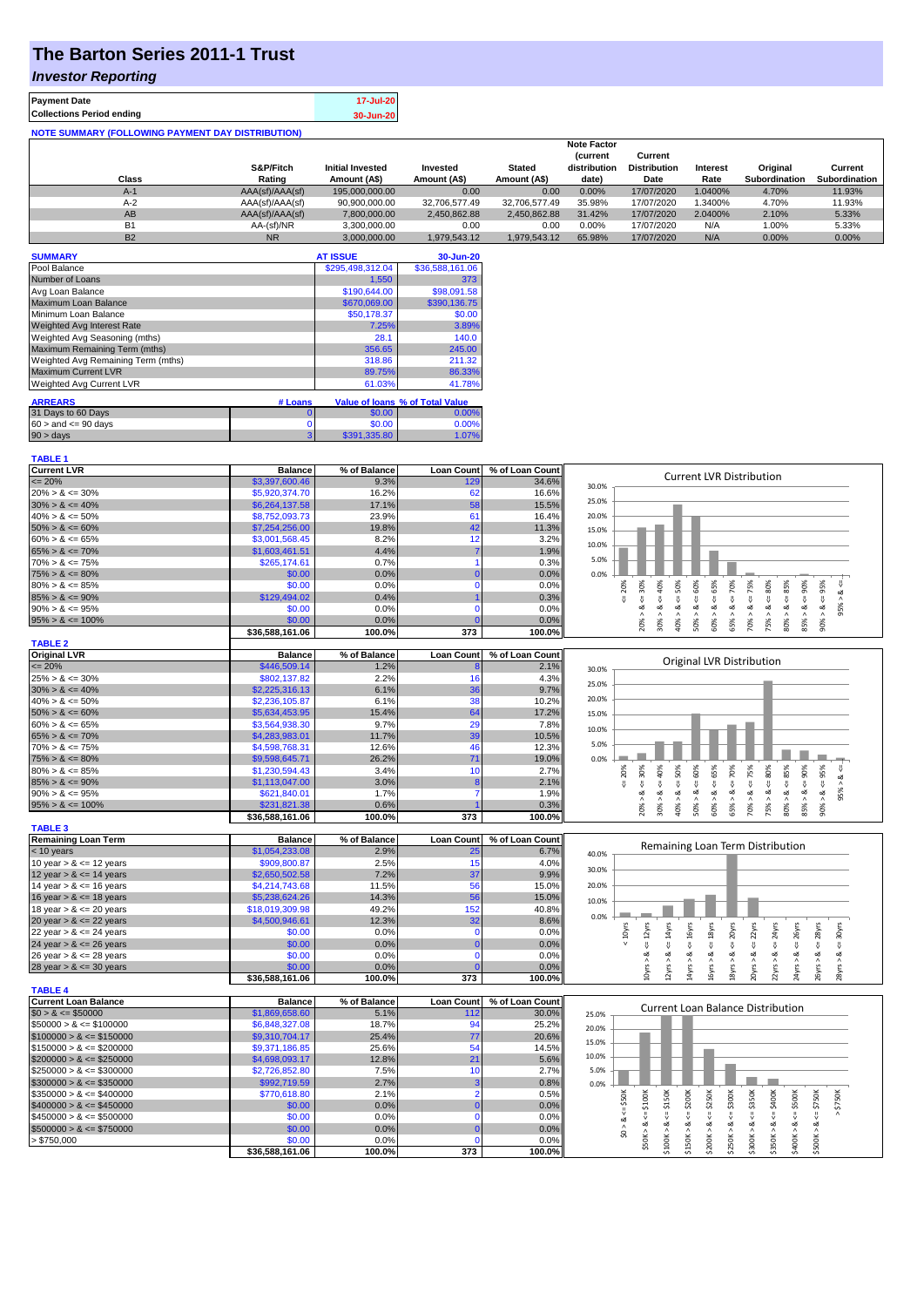# **The Barton Series 2011-1 Trust**

### *Investor Reporting*

| <b>Payment Date</b>                                      | 17-Jul-20 |
|----------------------------------------------------------|-----------|
| <b>Collections Period ending</b>                         | 30-Jun-20 |
| <b>NOTE SUMMARY (FOLLOWING PAYMENT DAY DISTRIBUTION)</b> |           |

|           |                 |                         |               |               | <b>Note Factor</b> |                     |                 |                      |               |
|-----------|-----------------|-------------------------|---------------|---------------|--------------------|---------------------|-----------------|----------------------|---------------|
|           |                 |                         |               |               | <b>Current</b>     | Current             |                 |                      |               |
|           | S&P/Fitch       | <b>Initial Invested</b> | Invested      | <b>Stated</b> | distribution       | <b>Distribution</b> | <b>Interest</b> | Original             | Current       |
| Class     | Rating          | Amount (A\$)            | Amount (A\$)  | Amount (A\$)  | date)              | Date                | Rate            | <b>Subordination</b> | Subordination |
| $A-1$     | AAA(sf)/AAA(sf) | 195,000,000,00          | 0.00          | 0.00          | 0.00%              | 17/07/2020          | 1.0400%         | 4.70%                | 11.93%        |
| $A-2$     | AAA(sf)/AAA(sf) | 90.900.000.00           | 32.706.577.49 | 32.706.577.49 | 35.98%             | 17/07/2020          | 1.3400%         | 4.70%                | 11.93%        |
| AB        | AAA(sf)/AAA(sf) | 7.800.000.00            | 2.450.862.88  | 2.450.862.88  | 31.42%             | 17/07/2020          | 2.0400%         | 2.10%                | 5.33%         |
| <b>B1</b> | AA-(sf)/NR      | 3.300.000.00            | 0.00          | 0.00          | 0.00%              | 17/07/2020          | N/A             | 1.00%                | 5.33%         |
| <b>B2</b> | <b>NR</b>       | 3.000.000.00            | 1.979.543.12  | 1.979.543.12  | 65.98%             | 17/07/2020          | N/A             | 0.00%                | 0.00%         |

| <b>SUMMARY</b>                     |         | <b>AT ISSUE</b>  | 30-Jun-20                       |
|------------------------------------|---------|------------------|---------------------------------|
| Pool Balance                       |         | \$295,498,312.04 | \$36,588,161.06                 |
| Number of Loans                    |         | 1,550            | 373                             |
| Avg Loan Balance                   |         | \$190,644,00     | \$98,091.58                     |
| Maximum Loan Balance               |         | \$670,069.00     | \$390,136.75                    |
| Minimum Loan Balance               |         | \$50,178.37      | \$0.00                          |
| <b>Weighted Avg Interest Rate</b>  |         | 7.25%            | 3.89%                           |
| Weighted Avg Seasoning (mths)      |         | 28.1             | 140.0                           |
| Maximum Remaining Term (mths)      |         | 356.65           | 245.00                          |
| Weighted Avg Remaining Term (mths) |         | 318.86           | 211.32                          |
| <b>Maximum Current LVR</b>         |         | 89.75%           | 86.33%                          |
| <b>Weighted Avg Current LVR</b>    |         | 61.03%           | 41.78%                          |
| <b>ARREARS</b>                     | # Loans |                  | Value of Ioans % of Total Value |
|                                    |         |                  |                                 |
| 31 Days to 60 Days                 | 0       | \$0.00           | 0.00%                           |
| $60 >$ and $\leq 90$ days          | 0       | \$0.00           | 0.00%                           |
| 90 > days                          | 3       | \$391,335,80     | 1.07%                           |

| <b>TABLE 1</b>              |                           |                |                   |                 |                                                                                                                                                                                   |
|-----------------------------|---------------------------|----------------|-------------------|-----------------|-----------------------------------------------------------------------------------------------------------------------------------------------------------------------------------|
| <b>Current LVR</b>          | <b>Balance</b>            | % of Balance   | <b>Loan Count</b> | % of Loan Count | <b>Current LVR Distribution</b>                                                                                                                                                   |
| $\epsilon = 20\%$           | \$3,397,600.46            | 9.3%           | 129               | 34.6%           | 30.0%                                                                                                                                                                             |
| $20\% > 8 \le 30\%$         | \$5,920,374.70            | 16.2%          | 62                | 16.6%           |                                                                                                                                                                                   |
| $30\% > 8 \le 40\%$         | \$6,264,137.58            | 17.1%          | 58                | 15.5%           | 25.0%                                                                                                                                                                             |
| $40\% > 8 \le 50\%$         | \$8,752,093.73            | 23.9%          | 61                | 16.4%           | 20.0%                                                                                                                                                                             |
| $50\% > 8 \le 60\%$         | \$7,254,256.00            | 19.8%          | 42                | 11.3%           | 15.0%                                                                                                                                                                             |
| $60\% > 8 \le 65\%$         | \$3,001,568.45            | 8.2%           | 12                | 3.2%            | 10.0%                                                                                                                                                                             |
| $65\% > 8 \le 70\%$         | \$1,603,461.51            | 4.4%           | 7                 | 1.9%            |                                                                                                                                                                                   |
| $70\% > 8 \le 75\%$         | \$265,174.61              | 0.7%           |                   | 0.3%            | 5.0%                                                                                                                                                                              |
| $75\% > 8 \le 80\%$         | \$0.00                    | 0.0%           | $\Omega$          | 0.0%            | 0.0%                                                                                                                                                                              |
| $80\% > 8 \le 85\%$         | \$0.00                    | 0.0%           | $\Omega$          | 0.0%            | $\epsilon = 50\%$<br>$4 = 70\%$<br>$4 = 95\%$<br>$4 = 75%$<br>$<=80\%$<br>$<= 90\%$<br>20%<br>30%                                                                                 |
| $85\% > 8 \le 90\%$         | \$129,494.02              | 0.4%           |                   | 0.3%            | $<= 60%$<br>$<=65%$<br>$8 - 40%$<br>જં<br>V<br>IJ,                                                                                                                                |
| $90\% > 8 \le 95\%$         | \$0.00                    | 0.0%           | $\Omega$          | 0.0%            | 95%<br>ø<br>ಷ<br>ವ<br>ø<br>ವ<br>∞                                                                                                                                                 |
| $95\% > 8 \le 100\%$        | \$0.00                    | 0.0%           |                   | 0.0%            | $80\% > 8 <= 85\%$<br>50% > 8<br>85% > 8<br>30% ><br>40% ><br>60% ><br>65% ><br>70% ><br>75% ><br>90% >                                                                           |
|                             | \$36,588,161.06           | 100.0%         | 373               | 100.0%          | 20%                                                                                                                                                                               |
| <b>TABLE 2</b>              |                           |                |                   |                 |                                                                                                                                                                                   |
| <b>Original LVR</b>         | <b>Balance</b>            | % of Balance   | <b>Loan Count</b> | % of Loan Count |                                                                                                                                                                                   |
| $\leq$ 20%                  | \$446,509.14              | 1.2%           |                   | 2.1%            | Original LVR Distribution<br>30.0%                                                                                                                                                |
| $25\% > 8 \le 30\%$         | \$802,137.82              | 2.2%           | 16                | 4.3%            |                                                                                                                                                                                   |
| $30\% > 8 \le 40\%$         | \$2,225,316.13            | 6.1%           | 36                | 9.7%            | 25.0%                                                                                                                                                                             |
| $40\% > 8 \le 50\%$         | \$2,236,105.87            | 6.1%           | 38                | 10.2%           | 20.0%                                                                                                                                                                             |
| $50\% > 8 \le 60\%$         | \$5,634,453.95            | 15.4%          | 64                | 17.2%           | 15.0%                                                                                                                                                                             |
| $60\% > 8 \le 65\%$         | \$3,564,938.30            | 9.7%           | 29                | 7.8%            |                                                                                                                                                                                   |
| $65\% > 8 \le 70\%$         | \$4,283,983.01            | 11.7%          | 39                | 10.5%           | 10.0%                                                                                                                                                                             |
| $70\% > 8 \le 75\%$         | \$4,598,768.31            | 12.6%          | 46                | 12.3%           | 5.0%                                                                                                                                                                              |
| $75\% > 8 \le 80\%$         | \$9,598,645.71            | 26.2%          | 71                | 19.0%           | 0.0%                                                                                                                                                                              |
| $80\% > 8 \le 85\%$         | \$1,230,594.43            | 3.4%           | 10                | 2.7%            | 85%<br>90%<br>95%<br>40%<br>50%<br>60%<br>70%<br>75%<br>80%<br>30%<br>20%                                                                                                         |
| $85\% > 8 \le 90\%$         | \$1,113,047.00            | 3.0%           | 8                 | 2.1%            | $<=65%$<br>ઌ<br>$\overset{  }{\vee}$<br>$\overset{  }{\vee}$<br>V<br>$\sqrt{2}$                                                                                                   |
| $90\% > 8 \le 95\%$         | \$621,840.01              | 1.7%           | $\overline{7}$    | 1.9%            | 8 < 1<br>8 < 1<br>$<=$<br>95% ><br>ø<br>ಷ<br>∞                                                                                                                                    |
| $95\% > 8 \le 100\%$        | \$231,821.38              | 0.6%           |                   | 0.3%            | $80\% > 8 <$<br>85% > 8 <<br>$50\% > 8 <$<br>70% > 8<br>30% ><br>$40\%$ $>$<br>60% ><br>65% ><br>75% ><br>90% ><br>20% >                                                          |
|                             | \$36,588,161.06           | 100.0%         | 373               | 100.0%          |                                                                                                                                                                                   |
| <b>TABLE 3</b>              |                           |                |                   |                 |                                                                                                                                                                                   |
| <b>Remaining Loan Term</b>  | <b>Balance</b>            | % of Balance   | <b>Loan Count</b> | % of Loan Count |                                                                                                                                                                                   |
| $< 10$ years                | \$1,054,233.08            | 2.9%           | 25                | 6.7%            | Remaining Loan Term Distribution<br>40.0%                                                                                                                                         |
| 10 year $> 8 \le 12$ years  | \$909,800.87              | 2.5%           | 15                | 4.0%            |                                                                                                                                                                                   |
| 12 year $> 8 \le 14$ years  | \$2,650,502.58            | 7.2%           | 37                | 9.9%            | 30.0%                                                                                                                                                                             |
| 14 year $> 8 \le 16$ years  | \$4,214,743.68            | 11.5%          | 56                | 15.0%           | 20.0%                                                                                                                                                                             |
| 16 year $> 8 \le 18$ years  | \$5,238,624.26            | 14.3%          | 56                | 15.0%           | 10.0%                                                                                                                                                                             |
| 18 year $> 8 \le 20$ years  | \$18,019,309.98           | 49.2%          | 152               | 40.8%           |                                                                                                                                                                                   |
| 20 year $> 8 \le 22$ years  | \$4,500,946.61            | 12.3%          | 32                | 8.6%            | 0.0%                                                                                                                                                                              |
| 22 year $> 8 \le 24$ years  | \$0.00                    | 0.0%           | $\mathbf 0$       | 0.0%            | $< 10$ yrs<br>26yrs<br>28yrs                                                                                                                                                      |
| 24 year $> 8 \le 26$ years  | \$0.00                    | 0.0%           | $\Omega$          | 0.0%            | $\epsilon$ = 22 $\gamma$ rs<br>$\leq 12$ yrs<br>$\leq$ 14 $\gamma$ rs<br>$\leq$ 16 $y$ rs<br>$\leq$ = 18yrs<br>$\leq 20$ yrs<br>$\leq$ = 24yrs<br>$4 = 30$ yrs<br>$\sqrt{ }$<br>V |
| 26 year $> 8 \le 28$ years  | \$0.00                    | 0.0%           | $\Omega$          | 0.0%            | ઌ                                                                                                                                                                                 |
| 28 year $> 8 \le 30$ years  | \$0.00                    | 0.0%           |                   | 0.0%            | 2yrs > 8<br>24yrs > 8<br>4yrs > 8<br>18yrs > 8<br>10yrs > 8<br>26yrs > 8<br>6yrs >                                                                                                |
|                             | \$36,588,161.06           | 100.0%         | 373               | 100.0%          | 20yrs > 8.<br>22yrs > 8.4<br>28yrs > 8                                                                                                                                            |
| <b>TABLE 4</b>              |                           |                |                   |                 |                                                                                                                                                                                   |
| <b>Current Loan Balance</b> | <b>Balance</b>            | % of Balance   | <b>Loan Count</b> | % of Loan Count |                                                                                                                                                                                   |
| $$0 > 8 \le $50000$         | \$1,869,658.60            | 5.1%           | 112               | 30.0%           | Current Loan Balance Distribution<br>25.0%                                                                                                                                        |
| $$50000 > 8 \le $100000$    | \$6,848,327.08            | 18.7%          | 94                | 25.2%           | 20.0%                                                                                                                                                                             |
| $$100000 > 8 \leq $150000$  | \$9,310,704.17            | 25.4%          | 77                | 20.6%           |                                                                                                                                                                                   |
| $$150000 > 8 \leq $200000$  | \$9,371,186.85            | 25.6%          | 54                | 14.5%           | 15.0%                                                                                                                                                                             |
| $$200000 > 8 \leq $250000$  | \$4,698,093.17            | 12.8%          | 21                | 5.6%            | 10.0%                                                                                                                                                                             |
| $$250000 > 8 \leq $300000$  | \$2,726,852.80            | 7.5%           | 10                | 2.7%            | 5.0%                                                                                                                                                                              |
| $$300000 > 8 \leq $350000$  | \$992,719.59              | 2.7%           | 3                 | 0.8%            | 0.0%                                                                                                                                                                              |
| $$350000 > 8 \leq $400000$  | \$770,618.80              | 2.1%           | $\overline{2}$    | 0.5%            |                                                                                                                                                                                   |
| $$400000 > 8 \le $450000$   | \$0.00                    | 0.0%           | $\Omega$          | 0.0%            | \$300K<br>\$200K<br>\$250K<br>\$50K<br>\$750K                                                                                                                                     |
|                             | \$0.00                    | 0.0%           | $\Omega$          | 0.0%            | $4 = $150K$<br>$4 = $350K$<br>$4 = $400K$<br>$\Leftarrow$ \$500K<br>$4 = $750K$<br>V<br>IJ,<br>V<br>₩                                                                             |
|                             |                           |                |                   |                 |                                                                                                                                                                                   |
| $$450000 > 8 \le $500000$   |                           |                |                   |                 |                                                                                                                                                                                   |
| $$500000 > 8 \leq $750000$  | \$0.00                    | 0.0%           | $\mathbf{0}$      | 0.0%            | \$0 > 8                                                                                                                                                                           |
| > \$750,000                 | \$0.00<br>\$36,588,161.06 | 0.0%<br>100.0% | n<br>373          | 0.0%<br>100.0%  | $$50K > 8 \leftarrow $100K$<br>\$100K > 8<br>\$150K > 8<br>\$250K > 8<br>\$300K > 8<br>\$350K > 8<br>\$500K > 8<br>\$200K > 8<br>\$400K > 8                                       |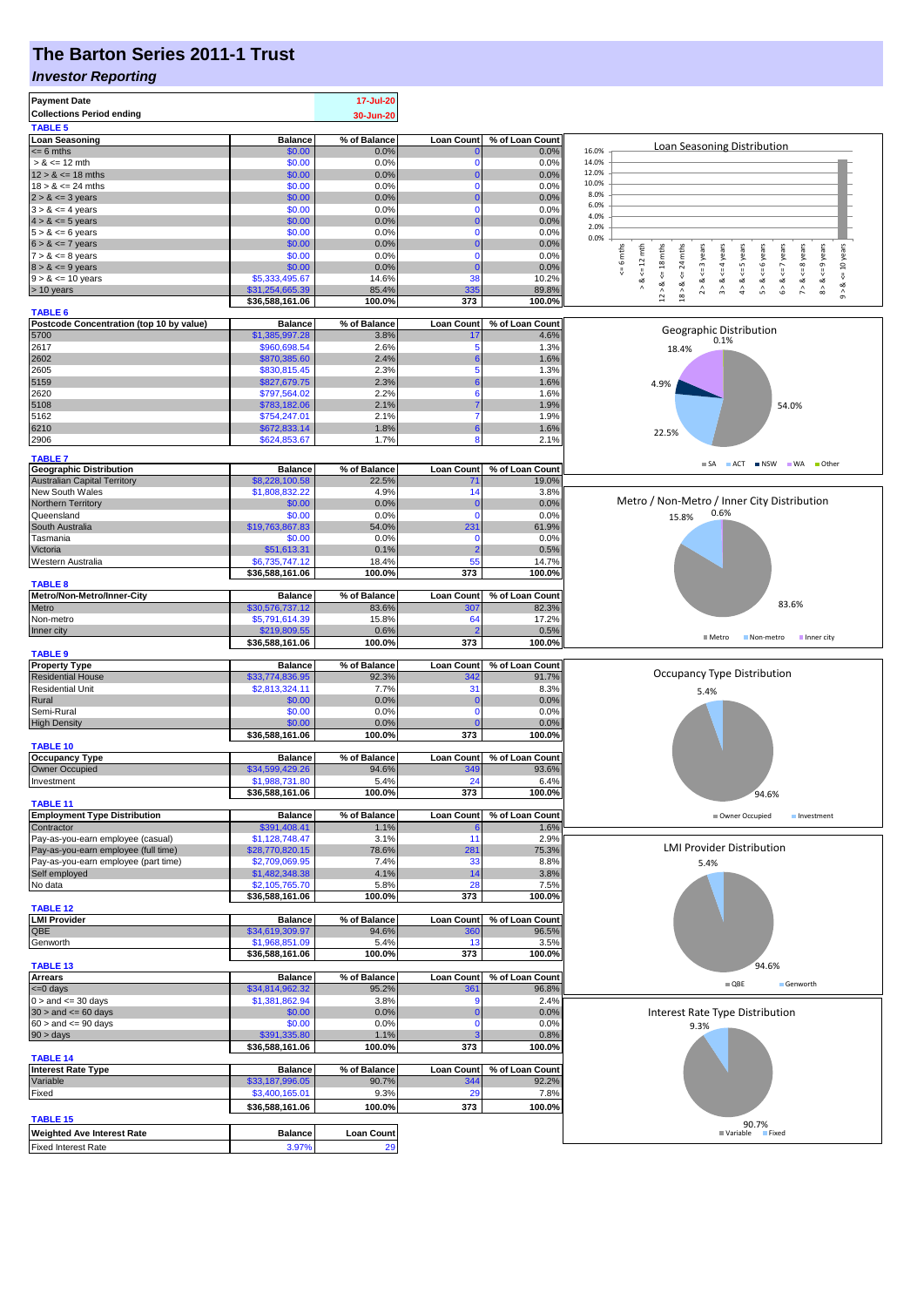## **The Barton Series 2011-1 Trust**

#### *Investor Reporting*

| <b>Payment Date</b>                                                       |                                   | 17-Jul-20         |                              |                 |                                                                                                                                                                                                                                     |  |  |
|---------------------------------------------------------------------------|-----------------------------------|-------------------|------------------------------|-----------------|-------------------------------------------------------------------------------------------------------------------------------------------------------------------------------------------------------------------------------------|--|--|
| <b>Collections Period ending</b>                                          |                                   | 30-Jun-20         |                              |                 |                                                                                                                                                                                                                                     |  |  |
| <b>TABLE 5</b>                                                            |                                   |                   |                              |                 |                                                                                                                                                                                                                                     |  |  |
| <b>Loan Seasoning</b>                                                     | <b>Balance</b>                    | % of Balance      | <b>Loan Count</b>            | % of Loan Count |                                                                                                                                                                                                                                     |  |  |
| $= 6$ mths                                                                | \$0.00                            | 0.0%              |                              | 0.0%            | Loan Seasoning Distribution<br>16.0%                                                                                                                                                                                                |  |  |
| $> 8 \le 12$ mth                                                          | \$0.00                            | 0.0%              | 0                            | 0.0%            | 14.0%                                                                                                                                                                                                                               |  |  |
| $12 > 8 \le 18$ mths<br>$18 > 8 \le 24$ mths                              | \$0.00                            | 0.0%              | $\Omega$                     | 0.0%            | 12.0%<br>10.0%                                                                                                                                                                                                                      |  |  |
| $2 > 8 \le 3$ years                                                       | \$0.00<br>\$0.00                  | 0.0%<br>0.0%      | $\mathbf 0$<br>$\Omega$      | 0.0%<br>0.0%    | 8.0%                                                                                                                                                                                                                                |  |  |
| $3 > 8 \le 4$ years                                                       | \$0.00                            | 0.0%              | $\mathbf 0$                  | 0.0%            | 6.0%                                                                                                                                                                                                                                |  |  |
| $4 > 8 \le 5$ years                                                       | \$0.00                            | 0.0%              | $\Omega$                     | 0.0%            | 4.0%                                                                                                                                                                                                                                |  |  |
| $5 > 8 \le 6$ years                                                       | \$0.00                            | 0.0%              | $\mathbf 0$                  | 0.0%            | 2.0%                                                                                                                                                                                                                                |  |  |
| $6 > 8 \le 7$ years                                                       | \$0.00                            | 0.0%              | $\Omega$                     | 0.0%            | 0.0%                                                                                                                                                                                                                                |  |  |
| $7 > 8 \le 8$ years                                                       | \$0.00                            | 0.0%              | $\mathbf 0$                  | 0.0%            | $8 > 8 < = 9$ years<br>$\leq$ 6 mths<br>$12 > 8 \le 18$ mths<br>24 mths<br>$2 > 8 < = 3$ years<br>$9 > 8 < 10$ years<br>$\leq 12$ mth<br>$\leq$ = 4 years<br>$4 > 8 < = 5$ years<br>6 years<br>$6 > 8 < z < 7$ years<br>$<=8$ years |  |  |
| $8 > 8 \le 9$ years                                                       | \$0.00                            | 0.0%              | $\Omega$                     | 0.0%            |                                                                                                                                                                                                                                     |  |  |
| $9 > 8 \le 10$ years                                                      | \$5,333,495.67                    | 14.6%             | 38                           | 10.2%           | $\&<$ $=$<br>$\overset{  }{\mathsf{v}}$<br>ಷ<br>∞                                                                                                                                                                                   |  |  |
| > 10 years                                                                | \$31,254,665.39                   | 85.4%             | 335                          | 89.8%           | 18 > 8<br>$\stackrel{\wedge}{\pi}$<br>$\hat{\mathsf{b}}$<br>$\hat{z}$                                                                                                                                                               |  |  |
| <b>TABLE 6</b>                                                            | \$36,588,161.06                   | 100.0%            | 373                          | 100.0%          |                                                                                                                                                                                                                                     |  |  |
| Postcode Concentration (top 10 by value)                                  | <b>Balance</b>                    | % of Balance      | <b>Loan Count</b>            | % of Loan Count |                                                                                                                                                                                                                                     |  |  |
| 5700                                                                      | \$1,385,997.28                    | 3.8%              | 17                           | 4.6%            | Geographic Distribution                                                                                                                                                                                                             |  |  |
| 2617                                                                      | \$960,698.54                      | 2.6%              | 5                            | 1.3%            | 0.1%<br>18.4%                                                                                                                                                                                                                       |  |  |
| 2602                                                                      | \$870,385.60                      | 2.4%              | 6                            | 1.6%            |                                                                                                                                                                                                                                     |  |  |
| 2605                                                                      | \$830,815.45                      | 2.3%              | 5                            | 1.3%            |                                                                                                                                                                                                                                     |  |  |
| 5159                                                                      | \$827,679.75                      | 2.3%              | 6                            | 1.6%            | 4.9%                                                                                                                                                                                                                                |  |  |
| 2620                                                                      | \$797,564.02                      | 2.2%              | 6                            | 1.6%            |                                                                                                                                                                                                                                     |  |  |
| 5108                                                                      | \$783,182.06                      | 2.1%              |                              | 1.9%            | 54.0%                                                                                                                                                                                                                               |  |  |
| 5162                                                                      | \$754,247.01                      | 2.1%              | $\overline{7}$<br>6          | 1.9%            |                                                                                                                                                                                                                                     |  |  |
| 6210                                                                      | \$672,833.14<br>\$624,853.67      | 1.8%<br>1.7%      | 8                            | 1.6%            | 22.5%                                                                                                                                                                                                                               |  |  |
| 2906                                                                      |                                   |                   |                              | 2.1%            |                                                                                                                                                                                                                                     |  |  |
| <b>TABLE 7</b>                                                            |                                   |                   |                              |                 | $\blacksquare$ SA<br>ACT NSW WA Other                                                                                                                                                                                               |  |  |
| <b>Geographic Distribution</b>                                            | <b>Balance</b>                    | % of Balance      | <b>Loan Count</b>            | % of Loan Count |                                                                                                                                                                                                                                     |  |  |
| <b>Australian Capital Territory</b>                                       | \$8,228,100.58                    | 22.5%             | 71                           | 19.0%           |                                                                                                                                                                                                                                     |  |  |
| New South Wales                                                           | \$1,808,832.22<br>\$0.00          | 4.9%<br>0.0%      | 14<br>$\bf{0}$               | 3.8%<br>0.0%    | Metro / Non-Metro / Inner City Distribution                                                                                                                                                                                         |  |  |
| Northern Territory<br>Queensland                                          | \$0.00                            | 0.0%              | $\mathbf 0$                  | 0.0%            | 0.6%<br>15.8%                                                                                                                                                                                                                       |  |  |
| South Australia                                                           | \$19,763,867.83                   | 54.0%             | 231                          | 61.9%           |                                                                                                                                                                                                                                     |  |  |
| Tasmania                                                                  | \$0.00                            | 0.0%              | $\mathbf 0$                  | 0.0%            |                                                                                                                                                                                                                                     |  |  |
| Victoria                                                                  | \$51,613.31                       | 0.1%              | $\overline{2}$               | 0.5%            |                                                                                                                                                                                                                                     |  |  |
| Western Australia                                                         | \$6,735,747.12                    | 18.4%             | 55                           | 14.7%           |                                                                                                                                                                                                                                     |  |  |
|                                                                           | \$36,588,161.06                   | 100.0%            | 373                          | 100.0%          |                                                                                                                                                                                                                                     |  |  |
| <b>TABLE 8</b>                                                            |                                   |                   |                              |                 |                                                                                                                                                                                                                                     |  |  |
| Metro/Non-Metro/Inner-City                                                | <b>Balance</b>                    | % of Balance      | <b>Loan Count</b>            | % of Loan Count | 83.6%                                                                                                                                                                                                                               |  |  |
| Metro                                                                     | \$30,576,737.12                   | 83.6%             | 307                          | 82.3%           |                                                                                                                                                                                                                                     |  |  |
| Non-metro                                                                 | \$5,791,614.39                    | 15.8%<br>0.6%     | 64                           | 17.2%<br>0.5%   |                                                                                                                                                                                                                                     |  |  |
| Inner city                                                                | \$219,809.55<br>\$36,588,161.06   | 100.0%            | 373                          | 100.0%          | <b>■ Metro</b><br>Non-metro<br>Inner city                                                                                                                                                                                           |  |  |
| <b>TABLE 9</b>                                                            |                                   |                   |                              |                 |                                                                                                                                                                                                                                     |  |  |
| <b>Property Type</b>                                                      | <b>Balance</b>                    | % of Balance      | <b>Loan Count</b>            | % of Loan Count |                                                                                                                                                                                                                                     |  |  |
| <b>Residential House</b>                                                  | \$33,774,836.95                   | 92.3%             | 342                          | 91.7%           | Occupancy Type Distribution                                                                                                                                                                                                         |  |  |
| <b>Residential Unit</b>                                                   | \$2,813,324.11                    | 7.7%              | 31                           | 8.3%            | 5.4%                                                                                                                                                                                                                                |  |  |
| Rural                                                                     | \$0.00                            | 0.0%              | $\bf{0}$                     | 0.0%            |                                                                                                                                                                                                                                     |  |  |
| Semi-Rural                                                                | \$0.00                            | 0.0%              | 0                            | 0.0%            |                                                                                                                                                                                                                                     |  |  |
| <b>High Density</b>                                                       | \$0.00                            | 0.0%              | $\Omega$<br>$\overline{373}$ | 0.0%            |                                                                                                                                                                                                                                     |  |  |
| TABLE 10                                                                  | \$36,588,161.06                   | 100.0%            |                              | 100.0%          |                                                                                                                                                                                                                                     |  |  |
| <b>Occupancy Type</b>                                                     | <b>Balance</b>                    | % of Balance      | Loan Count                   | % of Loan Count |                                                                                                                                                                                                                                     |  |  |
| Owner Occupied                                                            | \$34,599,429.26                   | 94.6%             | 349                          | 93.6%           |                                                                                                                                                                                                                                     |  |  |
| Investment                                                                | \$1,988,731.80                    | 5.4%              | 24                           | 6.4%            |                                                                                                                                                                                                                                     |  |  |
|                                                                           | \$36,588,161.06                   | 100.0%            | 373                          | 100.0%          | 94.6%                                                                                                                                                                                                                               |  |  |
| <b>TABLE 11</b>                                                           |                                   |                   |                              |                 |                                                                                                                                                                                                                                     |  |  |
| <b>Employment Type Distribution</b>                                       | <b>Balance</b>                    | % of Balance      | <b>Loan Count</b>            | % of Loan Count | Owner Occupied<br>Investment                                                                                                                                                                                                        |  |  |
| Contractor                                                                | \$391,408.41                      | 1.1%              |                              | 1.6%            |                                                                                                                                                                                                                                     |  |  |
| Pay-as-you-earn employee (casual)<br>Pay-as-you-earn employee (full time) | \$1,128,748.47<br>\$28,770,820.15 | 3.1%<br>78.6%     | 11<br>281                    | 2.9%<br>75.3%   | <b>LMI Provider Distribution</b>                                                                                                                                                                                                    |  |  |
| Pay-as-you-earn employee (part time)                                      | \$2,709,069.95                    | 7.4%              | 33                           | 8.8%            | 5.4%                                                                                                                                                                                                                                |  |  |
| Self employed                                                             | \$1,482,348.38                    | 4.1%              | 14                           | 3.8%            |                                                                                                                                                                                                                                     |  |  |
| No data                                                                   | \$2,105,765.70                    | 5.8%              | 28                           | 7.5%            |                                                                                                                                                                                                                                     |  |  |
|                                                                           | \$36,588,161.06                   | 100.0%            | 373                          | 100.0%          |                                                                                                                                                                                                                                     |  |  |
| <b>TABLE 12</b>                                                           |                                   |                   |                              |                 |                                                                                                                                                                                                                                     |  |  |
| <b>LMI Provider</b>                                                       | <b>Balance</b>                    | % of Balance      | <b>Loan Count</b>            | % of Loan Count |                                                                                                                                                                                                                                     |  |  |
| QBE                                                                       | \$34,619,309.97                   | 94.6%             | <b>360</b>                   | 96.5%           |                                                                                                                                                                                                                                     |  |  |
| Genworth                                                                  | \$1,968,851.09                    | 5.4%              | 13                           | 3.5%            |                                                                                                                                                                                                                                     |  |  |
| TABLE 13                                                                  | \$36,588,161.06                   | 100.0%            | 373                          | 100.0%          | 94.6%                                                                                                                                                                                                                               |  |  |
| <b>Arrears</b>                                                            | <b>Balance</b>                    | % of Balance      | <b>Loan Count</b>            | % of Loan Count |                                                                                                                                                                                                                                     |  |  |
| $= 0$ days                                                                | \$34,814,962.32                   | 95.2%             | 361                          | 96.8%           | $\blacksquare$ QBE<br>Genworth                                                                                                                                                                                                      |  |  |
| $0 >$ and $\leq 30$ days                                                  | \$1,381,862.94                    | 3.8%              | 9                            | 2.4%            |                                                                                                                                                                                                                                     |  |  |
| $30 >$ and $\leq 60$ days                                                 | \$0.00                            | 0.0%              | $\overline{0}$               | 0.0%            | Interest Rate Type Distribution                                                                                                                                                                                                     |  |  |
| $60 >$ and $\leq 90$ days                                                 | \$0.00                            | 0.0%              | $\mathbf 0$                  | 0.0%            | 9.3%                                                                                                                                                                                                                                |  |  |
| $90 > \text{days}$                                                        | \$391,335.80                      | 1.1%              | 3                            | 0.8%            |                                                                                                                                                                                                                                     |  |  |
|                                                                           | \$36,588,161.06                   | 100.0%            | 373                          | 100.0%          |                                                                                                                                                                                                                                     |  |  |
| <b>TABLE 14</b><br><b>Interest Rate Type</b>                              |                                   | % of Balance      |                              | % of Loan Count |                                                                                                                                                                                                                                     |  |  |
| Variable                                                                  | <b>Balance</b><br>\$33,187,996.05 | 90.7%             | <b>Loan Count</b><br>344     | 92.2%           |                                                                                                                                                                                                                                     |  |  |
| Fixed                                                                     | \$3,400,165.01                    | 9.3%              | 29                           | 7.8%            |                                                                                                                                                                                                                                     |  |  |
|                                                                           | \$36,588,161.06                   | 100.0%            | 373                          | 100.0%          |                                                                                                                                                                                                                                     |  |  |
| <b>TABLE 15</b>                                                           |                                   |                   |                              |                 |                                                                                                                                                                                                                                     |  |  |
| <b>Weighted Ave Interest Rate</b>                                         | <b>Balance</b>                    | <b>Loan Count</b> |                              |                 | 90.7%<br><b>■ Variable</b><br>Fixed                                                                                                                                                                                                 |  |  |
|                                                                           |                                   |                   |                              |                 |                                                                                                                                                                                                                                     |  |  |

Fixed Interest Rate 3.97% 29